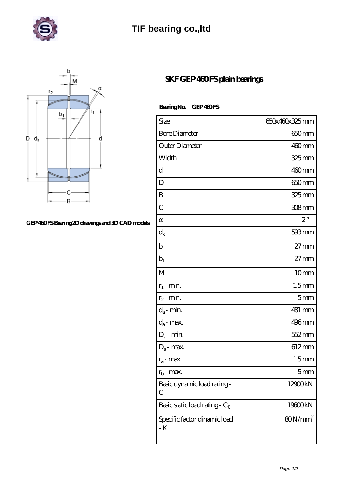

## **[TIF bearing co.,ltd](https://uaxme.com)**



## **[GEP 460 FS Bearing 2D drawings and 3D CAD models](https://uaxme.com/pic-63929.html)**

## **[SKF GEP 460 FS plain bearings](https://uaxme.com/al-63929-skf-gep-460-fs-plain-bearings.html)**

Bearing No. GEP 460FS

| Size                                | 650x460x325mm       |
|-------------------------------------|---------------------|
| <b>Bore Diameter</b>                | 650mm               |
| Outer Diameter                      | $460$ mm            |
| Width                               | 325 mm              |
| d                                   | 460mm               |
| D                                   | 650 <sub>mm</sub>   |
| B                                   | 325mm               |
| $\overline{C}$                      | 308mm               |
|                                     | $2^{\circ}$         |
| $\rm{d_k}$                          | $593 \,\mathrm{mm}$ |
| $\mathbf b$                         | $27 \text{mm}$      |
| $b_1$                               | $27 \text{mm}$      |
| M                                   | 10 <sub>mm</sub>    |
| $r_1$ - min.                        | 1.5 <sub>mm</sub>   |
| $r_2$ - min.                        | 5 <sub>mm</sub>     |
| $d_a$ - min.                        | 481 mm              |
| $d_a$ - max.                        | 496mm               |
| $D_a$ - min.                        | 552 mm              |
| $D_a$ - max.                        | 612mm               |
| $r_a$ - max.                        | 1.5 <sub>mm</sub>   |
| $r_{\rm b}$ - max.                  | 5mm                 |
| Basic dynamic load rating-<br>С     | 12900kN             |
| Basic static load rating - $C_0$    | 19600kN             |
| Specific factor dinamic load<br>- K | $80N/mm^2$          |
|                                     |                     |